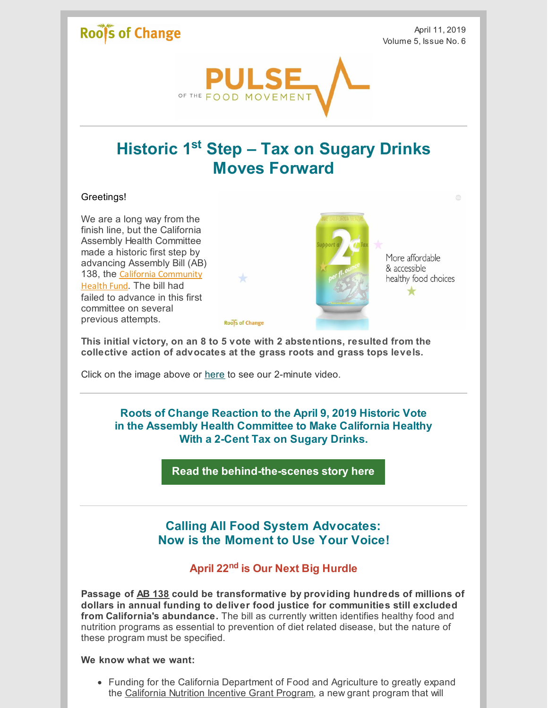## **Roofs of Change**

April 11, 2019 Volume 5, Issue No. 6



# **Historic 1 st Step – Tax on Sugary Drinks Moves Forward**

#### Greetings!

We are a long way from the finish line, but the California Assembly Health Committee made a historic first step by advancing Assembly Bill (AB) 138, the California [Community](http://leginfo.legislature.ca.gov/faces/billTextClient.xhtml?bill_id=201920200AB138) Health Fund. The bill had failed to advance in this first committee on several previous attempts.



More affordable & accessible healthy food choices

÷

**This initial victory, on an 8 to 5 vote with 2 abstentions, resulted from the collective action of advocates at the grass roots and grass tops levels.**

**Roofs of Change** 

Click on the image above or [here](https://youtu.be/qmm4VmbgFVQ) to see our 2-minute video.

**Roots of Change Reaction to the April 9, 2019 Historic Vote in the Assembly Health Committee to Make California Healthy With a 2-Cent Tax on Sugary Drinks.**

**Read the [behind-the-scenes](http://www.rootsofchange.org/blog/roc-and-grassroots-allies-help-move-transformative-bill-forward/) story here**

## **Calling All Food System Advocates: Now is the Moment to Use Your Voice!**

### **April 22 nd is Our Next Big Hurdle**

**Passage of AB [138](https://leginfo.legislature.ca.gov/faces/billTextClient.xhtml?bill_id=201920200AB138) could be transformative by providing hundreds of millions of dollars in annual funding to deliver food justice for communities still excluded from California's abundance.** The bill as currently written identifies healthy food and nutrition programs as essential to prevention of diet related disease, but the nature of these program must be specified.

#### **We know what we want:**

• Funding for the California Department of Food and Agriculture to greatly expand the [California](http://www.cafarmtofork.com/CA_NutritionIncentiveProgram.htm) Nutrition Incentive Grant Program, a new grant program that will